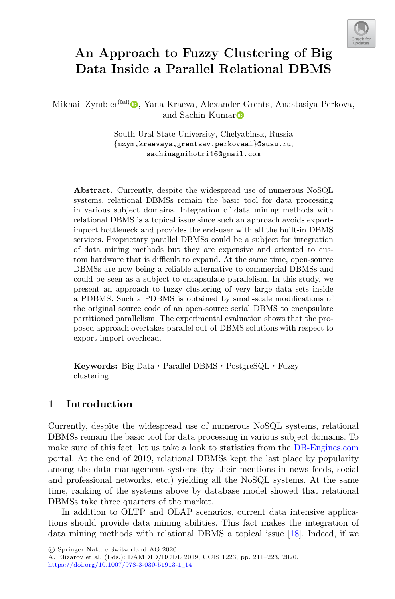

# **An Approach to Fuzzy Clustering of Big Data Inside a Parallel Relational DBMS**

Mikhail Zymbler<sup>( $\boxtimes$ )</sup>  $\bullet$ [,](http://orcid.org/0000-0001-7491-8656) Yana Kraeva, Alexander Grents, Anastasiya Perkova, and Sachin Kuma[r](http://orcid.org/0000-0003-3949-0302)

> South Ural State University, Chelyabinsk, Russia {mzym,kraevaya,grentsav,perkovaai}@susu.ru, sachinagnihotri16@gmail.com

**Abstract.** Currently, despite the widespread use of numerous NoSQL systems, relational DBMSs remain the basic tool for data processing in various subject domains. Integration of data mining methods with relational DBMS is a topical issue since such an approach avoids exportimport bottleneck and provides the end-user with all the built-in DBMS services. Proprietary parallel DBMSs could be a subject for integration of data mining methods but they are expensive and oriented to custom hardware that is difficult to expand. At the same time, open-source DBMSs are now being a reliable alternative to commercial DBMSs and could be seen as a subject to encapsulate parallelism. In this study, we present an approach to fuzzy clustering of very large data sets inside a PDBMS. Such a PDBMS is obtained by small-scale modifications of the original source code of an open-source serial DBMS to encapsulate partitioned parallelism. The experimental evaluation shows that the proposed approach overtakes parallel out-of-DBMS solutions with respect to export-import overhead.

**Keywords:** Big Data · Parallel DBMS · PostgreSQL · Fuzzy clustering

### **1 Introduction**

Currently, despite the widespread use of numerous NoSQL systems, relational DBMSs remain the basic tool for data processing in various subject domains. To make sure of this fact, let us take a look to statistics from the [DB-Engines.com](https://db-engines.com/) portal. At the end of 2019, relational DBMSs kept the last place by popularity among the data management systems (by their mentions in news feeds, social and professional networks, etc.) yielding all the NoSQL systems. At the same time, ranking of the systems above by database model showed that relational DBMSs take three quarters of the market.

In addition to OLTP and OLAP scenarios, current data intensive applications should provide data mining abilities. This fact makes the integration of data mining methods with relational DBMS a topical issue [\[18\]](#page-11-0). Indeed, if we

-c Springer Nature Switzerland AG 2020 A. Elizarov et al. (Eds.): DAMDID/RCDL 2019, CCIS 1223, pp. 211–223, 2020. [https://doi.org/10.1007/978-3-030-51913-1](https://doi.org/10.1007/978-3-030-51913-1_14)\_14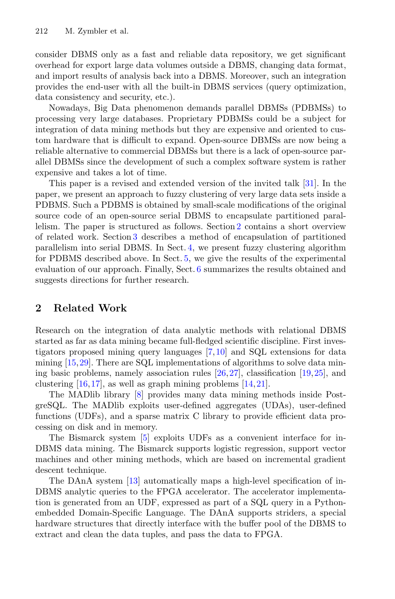consider DBMS only as a fast and reliable data repository, we get significant overhead for export large data volumes outside a DBMS, changing data format, and import results of analysis back into a DBMS. Moreover, such an integration provides the end-user with all the built-in DBMS services (query optimization, data consistency and security, etc.).

Nowadays, Big Data phenomenon demands parallel DBMSs (PDBMSs) to processing very large databases. Proprietary PDBMSs could be a subject for integration of data mining methods but they are expensive and oriented to custom hardware that is difficult to expand. Open-source DBMSs are now being a reliable alternative to commercial DBMSs but there is a lack of open-source parallel DBMSs since the development of such a complex software system is rather expensive and takes a lot of time.

This paper is a revised and extended version of the invited talk [\[31\]](#page-12-0). In the paper, we present an approach to fuzzy clustering of very large data sets inside a PDBMS. Such a PDBMS is obtained by small-scale modifications of the original source code of an open-source serial DBMS to encapsulate partitioned parallelism. The paper is structured as follows. Section [2](#page-1-0) contains a short overview of related work. Section [3](#page-2-0) describes a method of encapsulation of partitioned parallelism into serial DBMS. In Sect. [4,](#page-4-0) we present fuzzy clustering algorithm for PDBMS described above. In Sect. [5,](#page-8-0) we give the results of the experimental evaluation of our approach. Finally, Sect. [6](#page-9-0) summarizes the results obtained and suggests directions for further research.

### <span id="page-1-0"></span>**2 Related Work**

Research on the integration of data analytic methods with relational DBMS started as far as data mining became full-fledged scientific discipline. First investigators proposed mining query languages [\[7,](#page-10-0)[10](#page-10-1)] and SQL extensions for data mining [\[15,](#page-10-2)[29\]](#page-11-1). There are SQL implementations of algorithms to solve data mining basic problems, namely association rules [\[26](#page-11-2)[,27](#page-11-3)], classification [\[19](#page-11-4),[25\]](#page-11-5), and clustering  $[16,17]$  $[16,17]$  $[16,17]$ , as well as graph mining problems  $[14,21]$  $[14,21]$  $[14,21]$ .

The MADlib library [\[8](#page-10-6)] provides many data mining methods inside PostgreSQL. The MADlib exploits user-defined aggregates (UDAs), user-defined functions (UDFs), and a sparse matrix C library to provide efficient data processing on disk and in memory.

The Bismarck system [\[5\]](#page-10-7) exploits UDFs as a convenient interface for in-DBMS data mining. The Bismarck supports logistic regression, support vector machines and other mining methods, which are based on incremental gradient descent technique.

The DAnA system [\[13](#page-10-8)] automatically maps a high-level specification of in-DBMS analytic queries to the FPGA accelerator. The accelerator implementation is generated from an UDF, expressed as part of a SQL query in a Pythonembedded Domain-Specific Language. The DAnA supports striders, a special hardware structures that directly interface with the buffer pool of the DBMS to extract and clean the data tuples, and pass the data to FPGA.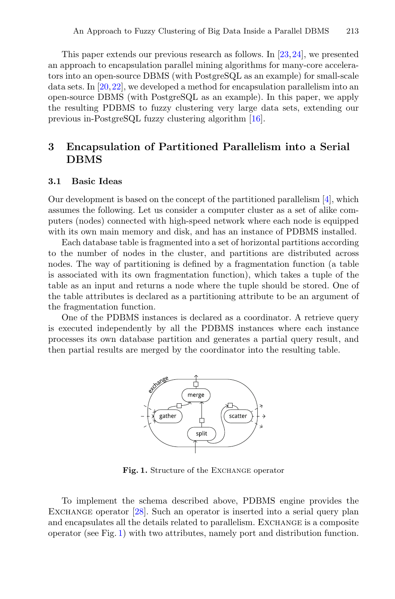This paper extends our previous research as follows. In  $[23,24]$  $[23,24]$  $[23,24]$ , we presented an approach to encapsulation parallel mining algorithms for many-core accelerators into an open-source DBMS (with PostgreSQL as an example) for small-scale data sets. In [\[20,](#page-11-9)[22\]](#page-11-10), we developed a method for encapsulation parallelism into an open-source DBMS (with PostgreSQL as an example). In this paper, we apply the resulting PDBMS to fuzzy clustering very large data sets, extending our previous in-PostgreSQL fuzzy clustering algorithm [\[16\]](#page-10-3).

### <span id="page-2-0"></span>**3 Encapsulation of Partitioned Parallelism into a Serial DBMS**

#### **3.1 Basic Ideas**

Our development is based on the concept of the partitioned parallelism  $[4]$  $[4]$ , which assumes the following. Let us consider a computer cluster as a set of alike computers (nodes) connected with high-speed network where each node is equipped with its own main memory and disk, and has an instance of PDBMS installed.

Each database table is fragmented into a set of horizontal partitions according to the number of nodes in the cluster, and partitions are distributed across nodes. The way of partitioning is defined by a fragmentation function (a table is associated with its own fragmentation function), which takes a tuple of the table as an input and returns a node where the tuple should be stored. One of the table attributes is declared as a partitioning attribute to be an argument of the fragmentation function.

One of the PDBMS instances is declared as a coordinator. A retrieve query is executed independently by all the PDBMS instances where each instance processes its own database partition and generates a partial query result, and then partial results are merged by the coordinator into the resulting table.



<span id="page-2-1"></span>Fig. 1. Structure of the EXCHANGE operator

To implement the schema described above, PDBMS engine provides the EXCHANGE operator [\[28\]](#page-11-11). Such an operator is inserted into a serial query plan and encapsulates all the details related to parallelism. EXCHANGE is a composite operator (see Fig. [1\)](#page-2-1) with two attributes, namely port and distribution function.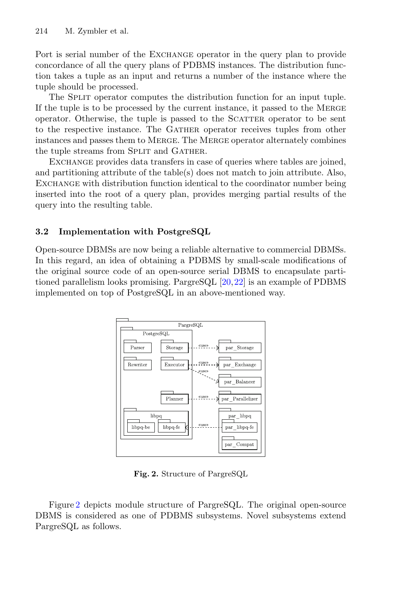Port is serial number of the Exchange operator in the query plan to provide concordance of all the query plans of PDBMS instances. The distribution function takes a tuple as an input and returns a number of the instance where the tuple should be processed.

The Split operator computes the distribution function for an input tuple. If the tuple is to be processed by the current instance, it passed to the Merge operator. Otherwise, the tuple is passed to the Scatter operator to be sent to the respective instance. The GATHER operator receives tuples from other instances and passes them to Merge. The Merge operator alternately combines the tuple streams from SPLIT and GATHER.

Exchange provides data transfers in case of queries where tables are joined, and partitioning attribute of the table(s) does not match to join attribute. Also, Exchange with distribution function identical to the coordinator number being inserted into the root of a query plan, provides merging partial results of the query into the resulting table.

### **3.2 Implementation with PostgreSQL**

Open-source DBMSs are now being a reliable alternative to commercial DBMSs. In this regard, an idea of obtaining a PDBMS by small-scale modifications of the original source code of an open-source serial DBMS to encapsulate partitioned parallelism looks promising. PargreSQL [\[20,](#page-11-9)[22\]](#page-11-10) is an example of PDBMS implemented on top of PostgreSQL in an above-mentioned way.



<span id="page-3-0"></span>**Fig. 2.** Structure of PargreSQL

Figure [2](#page-3-0) depicts module structure of PargreSQL. The original open-source DBMS is considered as one of PDBMS subsystems. Novel subsystems extend PargreSQL as follows.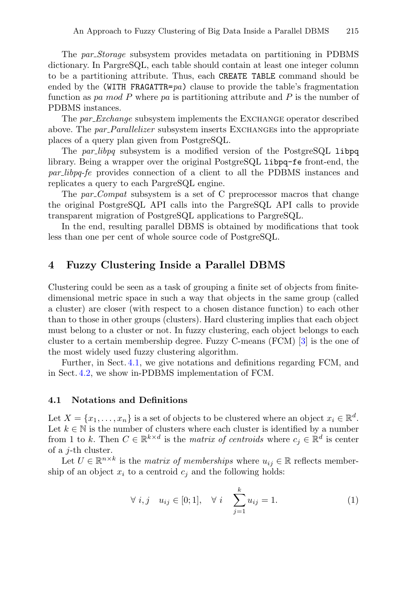The *par Storage* subsystem provides metadata on partitioning in PDBMS dictionary. In PargreSQL, each table should contain at least one integer column to be a partitioning attribute. Thus, each CREATE TABLE command should be ended by the (WITH FRAGATTR=*pa*) clause to provide the table's fragmentation function as pa mod P where pa is partitioning attribute and P is the number of PDBMS instances.

The *par Exchange* subsystem implements the Exchange operator described above. The *par Parallelizer* subsystem inserts Exchanges into the appropriate places of a query plan given from PostgreSQL.

The *par libpq* subsystem is a modified version of the PostgreSQL libpq library. Being a wrapper over the original PostgreSQL libpq-fe front-end, the *par libpq-fe* provides connection of a client to all the PDBMS instances and replicates a query to each PargreSQL engine.

The *par Compat* subsystem is a set of C preprocessor macros that change the original PostgreSQL API calls into the PargreSQL API calls to provide transparent migration of PostgreSQL applications to PargreSQL.

In the end, resulting parallel DBMS is obtained by modifications that took less than one per cent of whole source code of PostgreSQL.

### <span id="page-4-0"></span>**4 Fuzzy Clustering Inside a Parallel DBMS**

Clustering could be seen as a task of grouping a finite set of objects from finitedimensional metric space in such a way that objects in the same group (called a cluster) are closer (with respect to a chosen distance function) to each other than to those in other groups (clusters). Hard clustering implies that each object must belong to a cluster or not. In fuzzy clustering, each object belongs to each cluster to a certain membership degree. Fuzzy C-means (FCM) [\[3\]](#page-10-10) is the one of the most widely used fuzzy clustering algorithm.

Further, in Sect. [4.1,](#page-4-1) we give notations and definitions regarding FCM, and in Sect. [4.2,](#page-5-0) we show in-PDBMS implementation of FCM.

#### <span id="page-4-1"></span>**4.1 Notations and Definitions**

Let  $X = \{x_1, \ldots, x_n\}$  is a set of objects to be clustered where an object  $x_i \in \mathbb{R}^d$ . Let  $k \in \mathbb{N}$  is the number of clusters where each cluster is identified by a number from 1 to k. Then  $C \in \mathbb{R}^{k \times d}$  is the *matrix of centroids* where  $c_i \in \mathbb{R}^d$  is center of a j-th cluster.

Let  $U \in \mathbb{R}^{n \times k}$  is the *matrix of memberships* where  $u_{ij} \in \mathbb{R}$  reflects membership of an object  $x_i$  to a centroid  $c_j$  and the following holds:

<span id="page-4-2"></span>
$$
\forall i, j \quad u_{ij} \in [0; 1], \quad \forall i \quad \sum_{j=1}^{k} u_{ij} = 1. \tag{1}
$$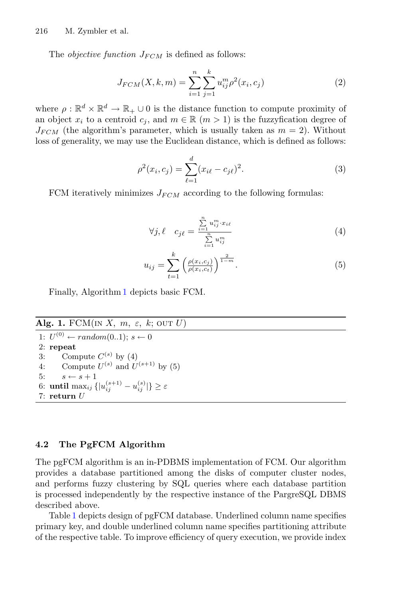The *objective function*  $J_{FCM}$  is defined as follows:

<span id="page-5-2"></span>
$$
J_{FCM}(X,k,m) = \sum_{i=1}^{n} \sum_{j=1}^{k} u_{ij}^{m} \rho^{2}(x_i, c_j)
$$
 (2)

where  $\rho : \mathbb{R}^d \times \mathbb{R}^d \to \mathbb{R}_+ \cup 0$  is the distance function to compute proximity of an object  $x_i$  to a centroid  $c_j$ , and  $m \in \mathbb{R}$   $(m > 1)$  is the fuzzyfication degree of  $J_{FCM}$  (the algorithm's parameter, which is usually taken as  $m = 2$ ). Without loss of generality, we may use the Euclidean distance, which is defined as follows:

$$
\rho^{2}(x_{i}, c_{j}) = \sum_{\ell=1}^{d} (x_{i\ell} - c_{j\ell})^{2}.
$$
\n(3)

FCM iteratively minimizes  $J_{FCM}$  according to the following formulas:

<span id="page-5-3"></span>
$$
\forall j, \ell \quad c_{j\ell} = \frac{\sum\limits_{i=1}^{n} u_{ij}^m \cdot x_{i\ell}}{\sum\limits_{i=1}^{n} u_{ij}^m}
$$
(4)

$$
u_{ij} = \sum_{t=1}^{k} \left( \frac{\rho(x_i, c_j)}{\rho(x_i, c_t)} \right)^{\frac{2}{1-m}}.
$$
 (5)

Finally, Algorithm [1](#page-5-1) depicts basic FCM.

#### Alg. 1. FCM(IN X,  $m, \varepsilon, k$ ; out U)

<span id="page-5-1"></span>1:  $U^{(0)} \leftarrow random(0..1); s \leftarrow 0$ 2: **repeat** 3: Compute  $C^{(s)}$  by (4) 4: Compute  $U^{(s)}$  and  $U^{(s+1)}$  by (5) 5:  $s \leftarrow s + 1$ 6: **until**  $\max_{ij} \{|u_{ij}^{(s+1)} - u_{ij}^{(s)}|\} \ge \varepsilon$ 7: **return** U

#### <span id="page-5-0"></span>**4.2 The PgFCM Algorithm**

The pgFCM algorithm is an in-PDBMS implementation of FCM. Our algorithm provides a database partitioned among the disks of computer cluster nodes, and performs fuzzy clustering by SQL queries where each database partition is processed independently by the respective instance of the PargreSQL DBMS described above.

Table [1](#page-6-0) depicts design of pgFCM database. Underlined column name specifies primary key, and double underlined column name specifies partitioning attribute of the respective table. To improve efficiency of query execution, we provide index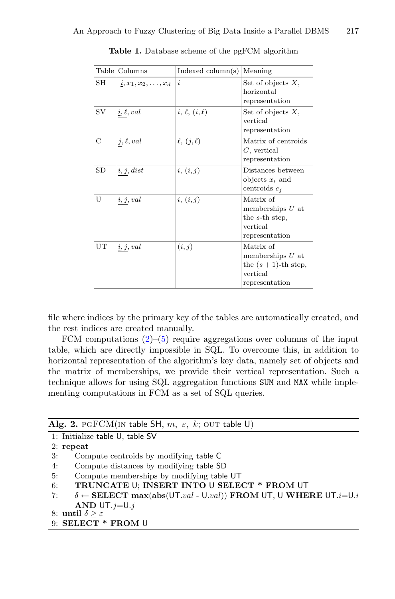<span id="page-6-0"></span>

| Table | Columns                                | Indexed $\text{column}(s)$ | Meaning                                                                                  |
|-------|----------------------------------------|----------------------------|------------------------------------------------------------------------------------------|
| SН    | $\underline{i},x_1,x_2,\ldots,x_d$     | $\dot{i}$                  | Set of objects $X$ ,<br>horizontal<br>representation                                     |
| SV    | $i, \ell, val$                         | $i, \ell, (i, \ell)$       | Set of objects $X$ ,<br>vertical<br>representation                                       |
| C     | $\underline{j}, \underline{\ell}, val$ | $\ell, (j, \ell)$          | Matrix of centroids<br>$C$ , vertical<br>representation                                  |
| SD.   | i, j, dist                             | i, (i, j)                  | Distances between<br>objects $x_i$ and<br>centroids $c_i$                                |
| U     | $\underline{i},j, val$                 | i, (i, j)                  | Matrix of<br>memberships $U$ at<br>the s-th step,<br>vertical<br>representation          |
| UT    | $\underline{i}, \underline{j}, val$    | (i, j)                     | Matrix of<br>memberships $U$ at<br>the $(s + 1)$ -th step,<br>vertical<br>representation |

**Table 1.** Database scheme of the pgFCM algorithm

file where indices by the primary key of the tables are automatically created, and the rest indices are created manually.

FCM computations  $(2)$ – $(5)$  require aggregations over columns of the input table, which are directly impossible in SQL. To overcome this, in addition to horizontal representation of the algorithm's key data, namely set of objects and the matrix of memberships, we provide their vertical representation. Such a technique allows for using SQL aggregation functions SUM and MAX while implementing computations in FCM as a set of SQL queries.

|--|

<span id="page-6-1"></span>1: Initialize table U, table SV

2: **repeat** 3: Compute centroids by modifying table C

- 4: Compute distances by modifying table SD
- 5: Compute memberships by modifying table UT
- 6: **TRUNCATE** U; **INSERT INTO** U **SELECT \* FROM** UT
- 7: <sup>δ</sup> <sup>←</sup> **SELECT max**(**abs**(UT.val <sup>U</sup>.val)) **FROM** UT, <sup>U</sup> **WHERE** UT.i=U.<sup>i</sup> **AND** UT. $i=U.$ *i*

9: **SELECT \* FROM** U

<sup>8:</sup> **until** <sup>δ</sup> <sup>≥</sup> <sup>ε</sup>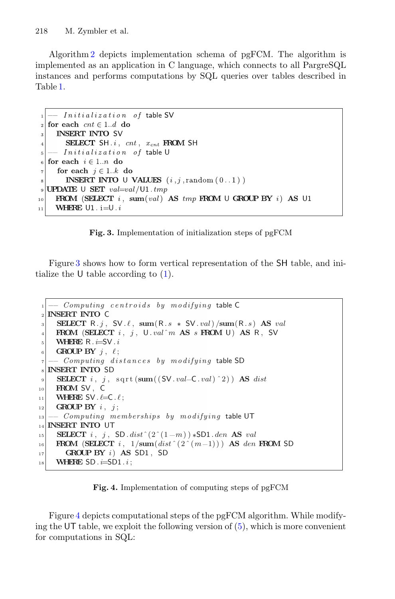Algorithm [2](#page-6-1) depicts implementation schema of pgFCM. The algorithm is implemented as an application in C language, which connects to all PargreSQL instances and performs computations by SQL queries over tables described in Table [1.](#page-6-0)

```
Initialization of table SV
  for each cnt \in 1..d do
\overline{2}INSERT INTO SV
\overline{3}SELECT SH. i, cnt, x_{cnt} FROM SH
\overline{4}Initialization of table U
\overline{5}for each i \in 1..n do
6 I
     for each i \in 1..k do
7
       INSERT INTO U VALUES (i, j, \text{random}(0..1))8
\circ UPDATE U SET val=val/U1 . tmpFROM (SELECT i, sum(val) AS tmp FROM U GROUP BY i) AS U1
10WHERE U1. i=U. i11
```
<span id="page-7-0"></span>**Fig. 3.** Implementation of initialization steps of pgFCM

Figure [3](#page-7-0) shows how to form vertical representation of the SH table, and initialize the U table according to  $(1)$ .

```
1 Computing centroids by modifying table C
2 INSERT INTO C
 \begin{bmatrix} \text{SELECT } R, j, \text{ SV}, \ell, \text{ sum}(R, s * \text{ SV}, val) / \text{sum}(R, s) \text{ AS } val \end{bmatrix}\mathbf{FROM} (SELECT i, j, U . val \hat{m} AS s FROM U) AS R, SV
\mathbf{S} WHERE R. i=SV. i\begin{bmatrix} 6 \end{bmatrix} GROUP BY j, \ell;7 Computing d istances by modifying table SD
8 INSERT INTO SD
9 SELECT i, j, sqrt (\text{sum}((S\vee val-C.val)^2)) AS dist
10 FROM SV , C
\text{11} WHERE SV. \ell = C \cdot \ell;
\begin{array}{c|c|c|c}\n\hline\n\textbf{12} & \textbf{GROUP BY} & i, & j; \n\end{array}13 Computing memberships by modifying table UT
14 INSERT INTO UT
15 SELECT i, j, SD. dist<sup>\hat{}(2^{(1-m)}) *SD1. den AS val</sup>
\text{FROM} (SELECT i, 1/\text{sum}(dist \hat{i}(m-1)) ) AS den FROM SD
\begin{bmatrix} 17 \end{bmatrix} GROUP BY i) AS SD1, SD
_{18} WHERE SD i=SD1 i;
```
<span id="page-7-1"></span>**Fig. 4.** Implementation of computing steps of pgFCM

Figure [4](#page-7-1) depicts computational steps of the pgFCM algorithm. While modifying the UT table, we exploit the following version of  $(5)$ , which is more convenient for computations in SQL: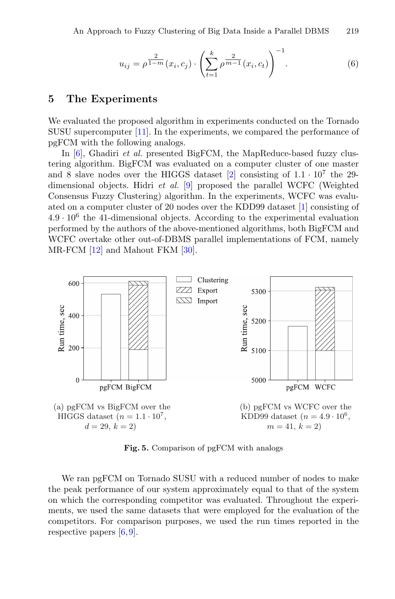$$
u_{ij} = \rho^{\frac{2}{1-m}}(x_i, c_j) \cdot \left(\sum_{t=1}^k \rho^{\frac{2}{m-1}}(x_i, c_t)\right)^{-1}.
$$
 (6)

#### <span id="page-8-0"></span>**5 The Experiments**

We evaluated the proposed algorithm in experiments conducted on the Tornado SUSU supercomputer [\[11\]](#page-10-11). In the experiments, we compared the performance of pgFCM with the following analogs.

In [\[6](#page-10-12)], Ghadiri *et al.* presented BigFCM, the MapReduce-based fuzzy clustering algorithm. BigFCM was evaluated on a computer cluster of one master and 8 slave nodes over the HIGGS dataset [\[2\]](#page-10-13) consisting of  $1.1 \cdot 10^7$  the 29dimensional objects. Hidri *et al.* [\[9\]](#page-10-14) proposed the parallel WCFC (Weighted Consensus Fuzzy Clustering) algorithm. In the experiments, WCFC was evaluated on a computer cluster of 20 nodes over the KDD99 dataset [\[1\]](#page-9-1) consisting of  $4.9 \cdot 10^6$  the 41-dimensional objects. According to the experimental evaluation performed by the authors of the above-mentioned algorithms, both BigFCM and WCFC overtake other out-of-DBMS parallel implementations of FCM, namely MR-FCM [\[12\]](#page-10-15) and Mahout FKM [\[30](#page-12-1)].



<span id="page-8-1"></span>**Fig. 5.** Comparison of pgFCM with analogs

We ran pgFCM on Tornado SUSU with a reduced number of nodes to make the peak performance of our system approximately equal to that of the system on which the corresponding competitor was evaluated. Throughout the experiments, we used the same datasets that were employed for the evaluation of the competitors. For comparison purposes, we used the run times reported in the respective papers [\[6,](#page-10-12)[9](#page-10-14)].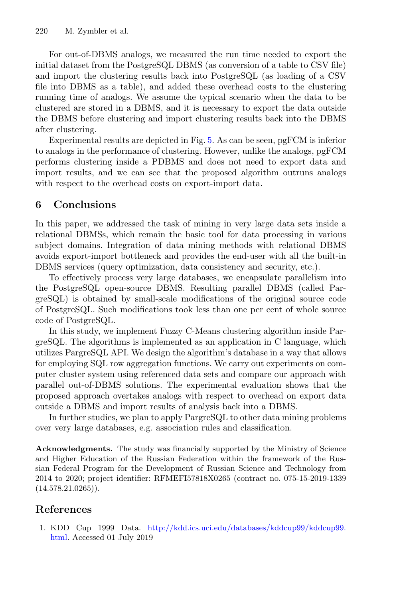For out-of-DBMS analogs, we measured the run time needed to export the initial dataset from the PostgreSQL DBMS (as conversion of a table to CSV file) and import the clustering results back into PostgreSQL (as loading of a CSV file into DBMS as a table), and added these overhead costs to the clustering running time of analogs. We assume the typical scenario when the data to be clustered are stored in a DBMS, and it is necessary to export the data outside the DBMS before clustering and import clustering results back into the DBMS after clustering.

Experimental results are depicted in Fig. [5.](#page-8-1) As can be seen, pgFCM is inferior to analogs in the performance of clustering. However, unlike the analogs, pgFCM performs clustering inside a PDBMS and does not need to export data and import results, and we can see that the proposed algorithm outruns analogs with respect to the overhead costs on export-import data.

### <span id="page-9-0"></span>**6 Conclusions**

In this paper, we addressed the task of mining in very large data sets inside a relational DBMSs, which remain the basic tool for data processing in various subject domains. Integration of data mining methods with relational DBMS avoids export-import bottleneck and provides the end-user with all the built-in DBMS services (query optimization, data consistency and security, etc.).

To effectively process very large databases, we encapsulate parallelism into the PostgreSQL open-source DBMS. Resulting parallel DBMS (called PargreSQL) is obtained by small-scale modifications of the original source code of PostgreSQL. Such modifications took less than one per cent of whole source code of PostgreSQL.

In this study, we implement Fuzzy C-Means clustering algorithm inside PargreSQL. The algorithms is implemented as an application in C language, which utilizes PargreSQL API. We design the algorithm's database in a way that allows for employing SQL row aggregation functions. We carry out experiments on computer cluster system using referenced data sets and compare our approach with parallel out-of-DBMS solutions. The experimental evaluation shows that the proposed approach overtakes analogs with respect to overhead on export data outside a DBMS and import results of analysis back into a DBMS.

In further studies, we plan to apply PargreSQL to other data mining problems over very large databases, e.g. association rules and classification.

**Acknowledgments.** The study was financially supported by the Ministry of Science and Higher Education of the Russian Federation within the framework of the Russian Federal Program for the Development of Russian Science and Technology from 2014 to 2020; project identifier: RFMEFI57818X0265 (contract no. 075-15-2019-1339  $(14.578.21.0265)$ ).

## **References**

<span id="page-9-1"></span>1. KDD Cup 1999 Data. [http://kdd.ics.uci.edu/databases/kddcup99/kddcup99.](http://kdd.ics.uci.edu/databases/kddcup99/kddcup99.html) [html.](http://kdd.ics.uci.edu/databases/kddcup99/kddcup99.html) Accessed 01 July 2019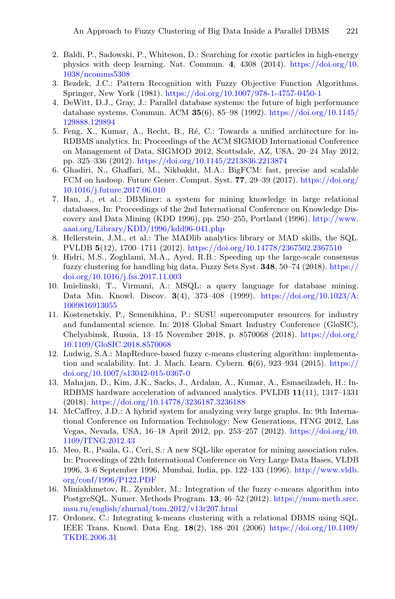- <span id="page-10-13"></span>2. Baldi, P., Sadowski, P., Whiteson, D.: Searching for exotic particles in high-energy physics with deep learning. Nat. Commun. **4**, 4308 (2014). [https://doi.org/10.](https://doi.org/10.1038/ncomms5308) [1038/ncomms5308](https://doi.org/10.1038/ncomms5308)
- <span id="page-10-10"></span>3. Bezdek, J.C.: Pattern Recognition with Fuzzy Objective Function Algorithms. Springer, New York (1981). <https://doi.org/10.1007/978-1-4757-0450-1>
- <span id="page-10-9"></span>4. DeWitt, D.J., Gray, J.: Parallel database systems: the future of high performance database systems. Commun. ACM **35**(6), 85–98 (1992). [https://doi.org/10.1145/](https://doi.org/10.1145/129888.129894) [129888.129894](https://doi.org/10.1145/129888.129894)
- <span id="page-10-7"></span>5. Feng, X., Kumar, A., Recht, B., Ré, C.: Towards a unified architecture for in-RDBMS analytics. In: Proceedings of the ACM SIGMOD International Conference on Management of Data, SIGMOD 2012, Scottsdale, AZ, USA, 20–24 May 2012, pp. 325–336 (2012). <https://doi.org/10.1145/2213836.2213874>
- <span id="page-10-12"></span>6. Ghadiri, N., Ghaffari, M., Nikbakht, M.A.: BigFCM: fast, precise and scalable FCM on hadoop. Future Gener. Comput. Syst. **77**, 29–39 (2017). [https://doi.org/](https://doi.org/10.1016/j.future.2017.06.010) [10.1016/j.future.2017.06.010](https://doi.org/10.1016/j.future.2017.06.010)
- <span id="page-10-0"></span>7. Han, J., et al.: DBMiner: a system for mining knowledge in large relational databases. In: Proceedings of the 2nd International Conference on Knowledge Discovery and Data Mining (KDD 1996), pp. 250–255, Portland (1996). [http://www.](http://www.aaai.org/Library/KDD/1996/kdd96-041.php) [aaai.org/Library/KDD/1996/kdd96-041.php](http://www.aaai.org/Library/KDD/1996/kdd96-041.php)
- <span id="page-10-6"></span>8. Hellerstein, J.M., et al.: The MADlib analytics library or MAD skills, the SQL. PVLDB **5**(12), 1700–1711 (2012). <https://doi.org/10.14778/2367502.2367510>
- <span id="page-10-14"></span>9. Hidri, M.S., Zoghlami, M.A., Ayed, R.B.: Speeding up the large-scale consensus fuzzy clustering for handling big data. Fuzzy Sets Syst. **348**, 50–74 (2018). [https://](https://doi.org/10.1016/j.fss.2017.11.003) [doi.org/10.1016/j.fss.2017.11.003](https://doi.org/10.1016/j.fss.2017.11.003)
- <span id="page-10-1"></span>10. Imielinski, T., Virmani, A.: MSQL: a query language for database mining. Data Min. Knowl. Discov. **3**(4), 373–408 (1999). [https://doi.org/10.1023/A:](https://doi.org/10.1023/A:1009816913055) [1009816913055](https://doi.org/10.1023/A:1009816913055)
- <span id="page-10-11"></span>11. Kostenetskiy, P., Semenikhina, P.: SUSU supercomputer resources for industry and fundamental science. In: 2018 Global Smart Industry Conference (GloSIC), Chelyabinsk, Russia, 13–15 November 2018, p. 8570068 (2018). [https://doi.org/](https://doi.org/10.1109/GloSIC.2018.8570068) [10.1109/GloSIC.2018.8570068](https://doi.org/10.1109/GloSIC.2018.8570068)
- <span id="page-10-15"></span>12. Ludwig, S.A.: MapReduce-based fuzzy c-means clustering algorithm: implementation and scalability. Int. J. Mach. Learn. Cybern. **6**(6), 923–934 (2015). [https://](https://doi.org/10.1007/s13042-015-0367-0) [doi.org/10.1007/s13042-015-0367-0](https://doi.org/10.1007/s13042-015-0367-0)
- <span id="page-10-8"></span>13. Mahajan, D., Kim, J.K., Sacks, J., Ardalan, A., Kumar, A., Esmaeilzadeh, H.: In-RDBMS hardware acceleration of advanced analytics. PVLDB **11**(11), 1317–1331 (2018). <https://doi.org/10.14778/3236187.3236188>
- <span id="page-10-5"></span>14. McCaffrey, J.D.: A hybrid system for analyzing very large graphs. In: 9th International Conference on Information Technology: New Generations, ITNG 2012, Las Vegas, Nevada, USA, 16–18 April 2012, pp. 253–257 (2012). [https://doi.org/10.](https://doi.org/10.1109/ITNG.2012.43) [1109/ITNG.2012.43](https://doi.org/10.1109/ITNG.2012.43)
- <span id="page-10-2"></span>15. Meo, R., Psaila, G., Ceri, S.: A new SQL-like operator for mining association rules. In: Proceedings of 22th International Conference on Very Large Data Bases, VLDB 1996, 3–6 September 1996, Mumbai, India, pp. 122–133 (1996). [http://www.vldb.](http://www.vldb.org/conf/1996/P122.PDF) [org/conf/1996/P122.PDF](http://www.vldb.org/conf/1996/P122.PDF)
- <span id="page-10-3"></span>16. Miniakhmetov, R., Zymbler, M.: Integration of the fuzzy c-means algorithm into PostgreSQL. Numer. Methods Program. **13**, 46–52 (2012). [https://num-meth.srcc.](https://num-meth.srcc.msu.ru/english/zhurnal/tom_2012/v13r207.html) [msu.ru/english/zhurnal/tom](https://num-meth.srcc.msu.ru/english/zhurnal/tom_2012/v13r207.html) 2012/v13r207.html
- <span id="page-10-4"></span>17. Ordonez, C.: Integrating k-means clustering with a relational DBMS using SQL. IEEE Trans. Knowl. Data Eng. **18**(2), 188–201 (2006) [https://doi.org/10.1109/](https://doi.org/10.1109/TKDE.2006.31) [TKDE.2006.31](https://doi.org/10.1109/TKDE.2006.31)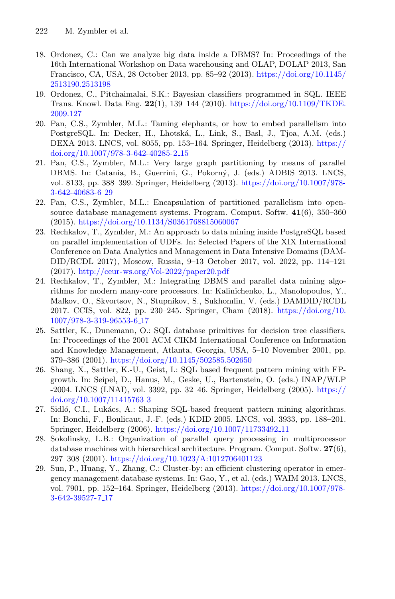- <span id="page-11-0"></span>18. Ordonez, C.: Can we analyze big data inside a DBMS? In: Proceedings of the 16th International Workshop on Data warehousing and OLAP, DOLAP 2013, San Francisco, CA, USA, 28 October 2013, pp. 85–92 (2013). [https://doi.org/10.1145/](https://doi.org/10.1145/2513190.2513198) [2513190.2513198](https://doi.org/10.1145/2513190.2513198)
- <span id="page-11-4"></span>19. Ordonez, C., Pitchaimalai, S.K.: Bayesian classifiers programmed in SQL. IEEE Trans. Knowl. Data Eng. **22**(1), 139–144 (2010). [https://doi.org/10.1109/TKDE.](https://doi.org/10.1109/TKDE.2009.127) [2009.127](https://doi.org/10.1109/TKDE.2009.127)
- <span id="page-11-9"></span>20. Pan, C.S., Zymbler, M.L.: Taming elephants, or how to embed parallelism into PostgreSQL. In: Decker, H., Lhotská, L., Link, S., Basl, J., Tjoa, A.M. (eds.) DEXA 2013. LNCS, vol. 8055, pp. 153–164. Springer, Heidelberg (2013). [https://](https://doi.org/10.1007/978-3-642-40285-2_15) [doi.org/10.1007/978-3-642-40285-2](https://doi.org/10.1007/978-3-642-40285-2_15) 15
- <span id="page-11-6"></span>21. Pan, C.S., Zymbler, M.L.: Very large graph partitioning by means of parallel DBMS. In: Catania, B., Guerrini, G., Pokorný, J. (eds.) ADBIS 2013. LNCS, vol. 8133, pp. 388–399. Springer, Heidelberg (2013). [https://doi.org/10.1007/978-](https://doi.org/10.1007/978-3-642-40683-6_29) [3-642-40683-6](https://doi.org/10.1007/978-3-642-40683-6_29) 29
- <span id="page-11-10"></span>22. Pan, C.S., Zymbler, M.L.: Encapsulation of partitioned parallelism into opensource database management systems. Program. Comput. Softw. **41**(6), 350–360 (2015). <https://doi.org/10.1134/S0361768815060067>
- <span id="page-11-7"></span>23. Rechkalov, T., Zymbler, M.: An approach to data mining inside PostgreSQL based on parallel implementation of UDFs. In: Selected Papers of the XIX International Conference on Data Analytics and Management in Data Intensive Domains (DAM-DID/RCDL 2017), Moscow, Russia, 9–13 October 2017, vol. 2022, pp. 114–121 (2017). <http://ceur-ws.org/Vol-2022/paper20.pdf>
- <span id="page-11-8"></span>24. Rechkalov, T., Zymbler, M.: Integrating DBMS and parallel data mining algorithms for modern many-core processors. In: Kalinichenko, L., Manolopoulos, Y., Malkov, O., Skvortsov, N., Stupnikov, S., Sukhomlin, V. (eds.) DAMDID/RCDL 2017. CCIS, vol. 822, pp. 230–245. Springer, Cham (2018). [https://doi.org/10.](https://doi.org/10.1007/978-3-319-96553-6_17) [1007/978-3-319-96553-6](https://doi.org/10.1007/978-3-319-96553-6_17) 17
- <span id="page-11-5"></span>25. Sattler, K., Dunemann, O.: SQL database primitives for decision tree classifiers. In: Proceedings of the 2001 ACM CIKM International Conference on Information and Knowledge Management, Atlanta, Georgia, USA, 5–10 November 2001, pp. 379–386 (2001). <https://doi.org/10.1145/502585.502650>
- <span id="page-11-2"></span>26. Shang, X., Sattler, K.-U., Geist, I.: SQL based frequent pattern mining with FPgrowth. In: Seipel, D., Hanus, M., Geske, U., Bartenstein, O. (eds.) INAP/WLP -2004. LNCS (LNAI), vol. 3392, pp. 32–46. Springer, Heidelberg (2005). [https://](https://doi.org/10.1007/11415763_3) [doi.org/10.1007/11415763](https://doi.org/10.1007/11415763_3) 3
- <span id="page-11-3"></span>27. Sidló, C.I., Lukács, A.: Shaping SQL-based frequent pattern mining algorithms. In: Bonchi, F., Boulicaut, J.-F. (eds.) KDID 2005. LNCS, vol. 3933, pp. 188–201. Springer, Heidelberg (2006). [https://doi.org/10.1007/11733492](https://doi.org/10.1007/11733492_11) 11
- <span id="page-11-11"></span>28. Sokolinsky, L.B.: Organization of parallel query processing in multiprocessor database machines with hierarchical architecture. Program. Comput. Softw. **27**(6), 297–308 (2001). <https://doi.org/10.1023/A:1012706401123>
- <span id="page-11-1"></span>29. Sun, P., Huang, Y., Zhang, C.: Cluster-by: an efficient clustering operator in emergency management database systems. In: Gao, Y., et al. (eds.) WAIM 2013. LNCS, vol. 7901, pp. 152–164. Springer, Heidelberg (2013). [https://doi.org/10.1007/978-](https://doi.org/10.1007/978-3-642-39527-7_17) [3-642-39527-7](https://doi.org/10.1007/978-3-642-39527-7_17) 17